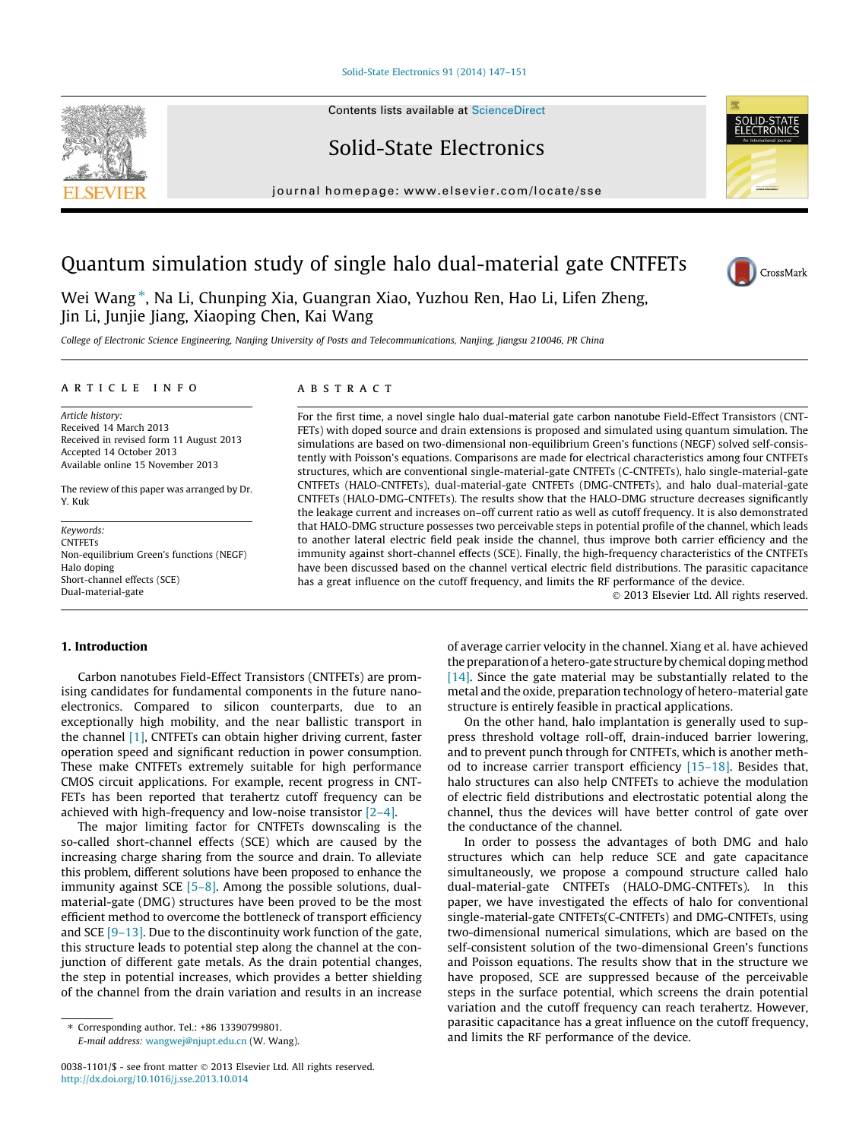#### [Solid-State Electronics 91 \(2014\) 147–151](http://dx.doi.org/10.1016/j.sse.2013.10.014)

Contents lists available at [ScienceDirect](http://www.sciencedirect.com/science/journal/00381101)

## Solid-State Electronics

journal homepage: [www.elsevier.com/locate/sse](http://www.elsevier.com/locate/sse)

# Quantum simulation study of single halo dual-material gate CNTFETs

Wei Wang\*, Na Li, Chunping Xia, Guangran Xiao, Yuzhou Ren, Hao Li, Lifen Zheng, Jin Li, Junjie Jiang, Xiaoping Chen, Kai Wang

College of Electronic Science Engineering, Nanjing University of Posts and Telecommunications, Nanjing, Jiangsu 210046, PR China

#### article info

Article history: Received 14 March 2013 Received in revised form 11 August 2013 Accepted 14 October 2013 Available online 15 November 2013

The review of this paper was arranged by Dr. Y. Kuk

Keywords: **CNTFETs** Non-equilibrium Green's functions (NEGF) Halo doping Short-channel effects (SCE) Dual-material-gate

#### ABSTRACT

For the first time, a novel single halo dual-material gate carbon nanotube Field-Effect Transistors (CNT-FETs) with doped source and drain extensions is proposed and simulated using quantum simulation. The simulations are based on two-dimensional non-equilibrium Green's functions (NEGF) solved self-consistently with Poisson's equations. Comparisons are made for electrical characteristics among four CNTFETs structures, which are conventional single-material-gate CNTFETs (C-CNTFETs), halo single-material-gate CNTFETs (HALO-CNTFETs), dual-material-gate CNTFETs (DMG-CNTFETs), and halo dual-material-gate CNTFETs (HALO-DMG-CNTFETs). The results show that the HALO-DMG structure decreases significantly the leakage current and increases on–off current ratio as well as cutoff frequency. It is also demonstrated that HALO-DMG structure possesses two perceivable steps in potential profile of the channel, which leads to another lateral electric field peak inside the channel, thus improve both carrier efficiency and the immunity against short-channel effects (SCE). Finally, the high-frequency characteristics of the CNTFETs have been discussed based on the channel vertical electric field distributions. The parasitic capacitance has a great influence on the cutoff frequency, and limits the RF performance of the device.

- 2013 Elsevier Ltd. All rights reserved.

## 1. Introduction

Carbon nanotubes Field-Effect Transistors (CNTFETs) are promising candidates for fundamental components in the future nanoelectronics. Compared to silicon counterparts, due to an exceptionally high mobility, and the near ballistic transport in the channel [\[1\],](#page--1-0) CNTFETs can obtain higher driving current, faster operation speed and significant reduction in power consumption. These make CNTFETs extremely suitable for high performance CMOS circuit applications. For example, recent progress in CNT-FETs has been reported that terahertz cutoff frequency can be achieved with high-frequency and low-noise transistor [\[2–4\].](#page--1-0)

The major limiting factor for CNTFETs downscaling is the so-called short-channel effects (SCE) which are caused by the increasing charge sharing from the source and drain. To alleviate this problem, different solutions have been proposed to enhance the immunity against SCE  $[5-8]$ . Among the possible solutions, dualmaterial-gate (DMG) structures have been proved to be the most efficient method to overcome the bottleneck of transport efficiency and SCE [\[9–13\].](#page--1-0) Due to the discontinuity work function of the gate, this structure leads to potential step along the channel at the conjunction of different gate metals. As the drain potential changes, the step in potential increases, which provides a better shielding of the channel from the drain variation and results in an increase

⇑ Corresponding author. Tel.: +86 13390799801. E-mail address: [wangwej@njupt.edu.cn](mailto:wangwej@njupt.edu.cn) (W. Wang). of average carrier velocity in the channel. Xiang et al. have achieved the preparation of a hetero-gate structure by chemical doping method [\[14\]](#page--1-0). Since the gate material may be substantially related to the metal and the oxide, preparation technology of hetero-material gate structure is entirely feasible in practical applications.

On the other hand, halo implantation is generally used to suppress threshold voltage roll-off, drain-induced barrier lowering, and to prevent punch through for CNTFETs, which is another method to increase carrier transport efficiency  $[15-18]$ . Besides that, halo structures can also help CNTFETs to achieve the modulation of electric field distributions and electrostatic potential along the channel, thus the devices will have better control of gate over the conductance of the channel.

In order to possess the advantages of both DMG and halo structures which can help reduce SCE and gate capacitance simultaneously, we propose a compound structure called halo dual-material-gate CNTFETs (HALO-DMG-CNTFETs). In this paper, we have investigated the effects of halo for conventional single-material-gate CNTFETs(C-CNTFETs) and DMG-CNTFETs, using two-dimensional numerical simulations, which are based on the self-consistent solution of the two-dimensional Green's functions and Poisson equations. The results show that in the structure we have proposed, SCE are suppressed because of the perceivable steps in the surface potential, which screens the drain potential variation and the cutoff frequency can reach terahertz. However, parasitic capacitance has a great influence on the cutoff frequency, and limits the RF performance of the device.







<sup>0038-1101/\$ -</sup> see front matter © 2013 Elsevier Ltd. All rights reserved. <http://dx.doi.org/10.1016/j.sse.2013.10.014>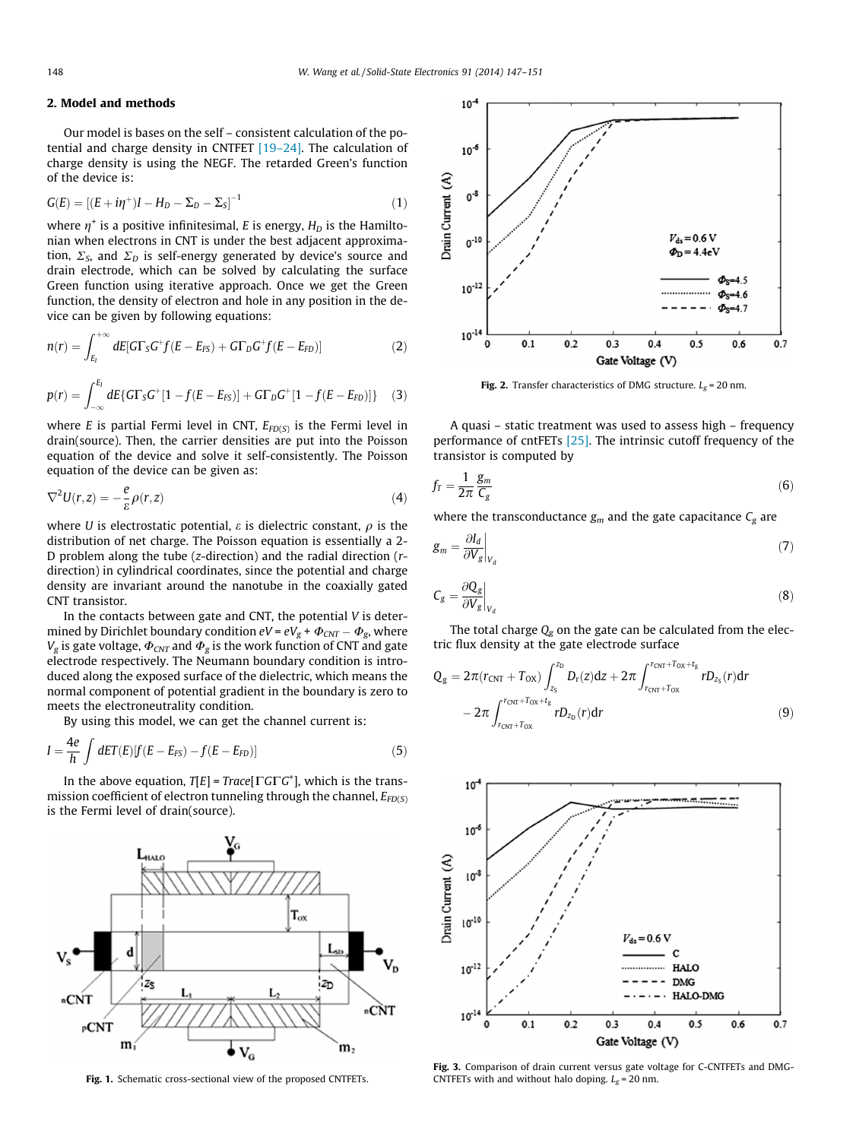### 2. Model and methods

Our model is bases on the self – consistent calculation of the potential and charge density in CNTFET [\[19–24\].](#page--1-0) The calculation of charge density is using the NEGF. The retarded Green's function of the device is:

$$
G(E) = [(E + i\eta^+)I - H_D - \Sigma_D - \Sigma_S]^{-1}
$$
\n(1)

where  $\eta^+$  is a positive infinitesimal, E is energy,  $H_D$  is the Hamiltonian when electrons in CNT is under the best adjacent approximation,  $\Sigma$ <sub>S</sub>, and  $\Sigma$ <sub>D</sub> is self-energy generated by device's source and drain electrode, which can be solved by calculating the surface Green function using iterative approach. Once we get the Green function, the density of electron and hole in any position in the device can be given by following equations:

$$
n(r) = \int_{E_I}^{+\infty} dE[G\Gamma_S G^+ f(E - E_{FS}) + G\Gamma_D G^+ f(E - E_{FD})]
$$
\n(2)

$$
p(r) = \int_{-\infty}^{E_I} dE \{ G \Gamma_S G^+[1 - f(E - E_{FS})] + G \Gamma_D G^+[1 - f(E - E_{FD})] \} \quad (3)
$$

where E is partial Fermi level in CNT,  $E_{FD(S)}$  is the Fermi level in drain(source). Then, the carrier densities are put into the Poisson equation of the device and solve it self-consistently. The Poisson equation of the device can be given as:

$$
\nabla^2 U(r, z) = -\frac{e}{\varepsilon} \rho(r, z)
$$
\n(4)

where *U* is electrostatic potential,  $\varepsilon$  is dielectric constant,  $\rho$  is the distribution of net charge. The Poisson equation is essentially a 2- D problem along the tube (z-direction) and the radial direction (rdirection) in cylindrical coordinates, since the potential and charge density are invariant around the nanotube in the coaxially gated CNT transistor.

In the contacts between gate and CNT, the potential  $V$  is determined by Dirichlet boundary condition  $eV$  =  $eV_g + \Phi_{CNT} - \Phi_g$ , where  $V_g$  is gate voltage,  $\Phi_{CNT}$  and  $\Phi_g$  is the work function of CNT and gate electrode respectively. The Neumann boundary condition is introduced along the exposed surface of the dielectric, which means the normal component of potential gradient in the boundary is zero to meets the electroneutrality condition.

By using this model, we can get the channel current is:

$$
I = \frac{4e}{h} \int dET(E)[f(E - E_{FS}) - f(E - E_{FD})]
$$
\n(5)

In the above equation,  $T[E]$  = Trace[ $\Gamma G \Gamma G^+$ ], which is the transmission coefficient of electron tunneling through the channel,  $E_{FD(S)}$ is the Fermi level of drain(source).



Fig. 1. Schematic cross-sectional view of the proposed CNTFETs.



Fig. 2. Transfer characteristics of DMG structure.  $L_g = 20$  nm.

A quasi – static treatment was used to assess high – frequency performance of cntFETs [\[25\].](#page--1-0) The intrinsic cutoff frequency of the transistor is computed by

$$
f_T = \frac{1}{2\pi} \frac{g_m}{C_g} \tag{6}
$$

where the transconductance  $g_m$  and the gate capacitance  $C_g$  are

$$
g_m = \frac{\partial I_d}{\partial V_g}\bigg|_{V_d} \tag{7}
$$

$$
C_g = \frac{\partial Q_g}{\partial V_g}\bigg|_{V_d} \tag{8}
$$

The total charge  $Q<sub>g</sub>$  on the gate can be calculated from the electric flux density at the gate electrode surface

$$
Q_{g} = 2\pi (r_{\text{CNT}} + T_{\text{OX}}) \int_{z_{S}}^{z_{D}} D_{r}(z)dz + 2\pi \int_{r_{\text{CNT}}+T_{\text{OX}}}^{r_{\text{CNT}}+r_{\text{OX}}} r D_{z_{S}}(r)dr
$$
  
- 2\pi \int\_{r\_{\text{CNT}}+T\_{\text{OX}}}^{r\_{\text{CNT}}+r\_{\text{OX}}} r D\_{z\_{D}}(r)dr (9)



Fig. 3. Comparison of drain current versus gate voltage for C-CNTFETs and DMG-CNTFETs with and without halo doping.  $L_g = 20$  nm.